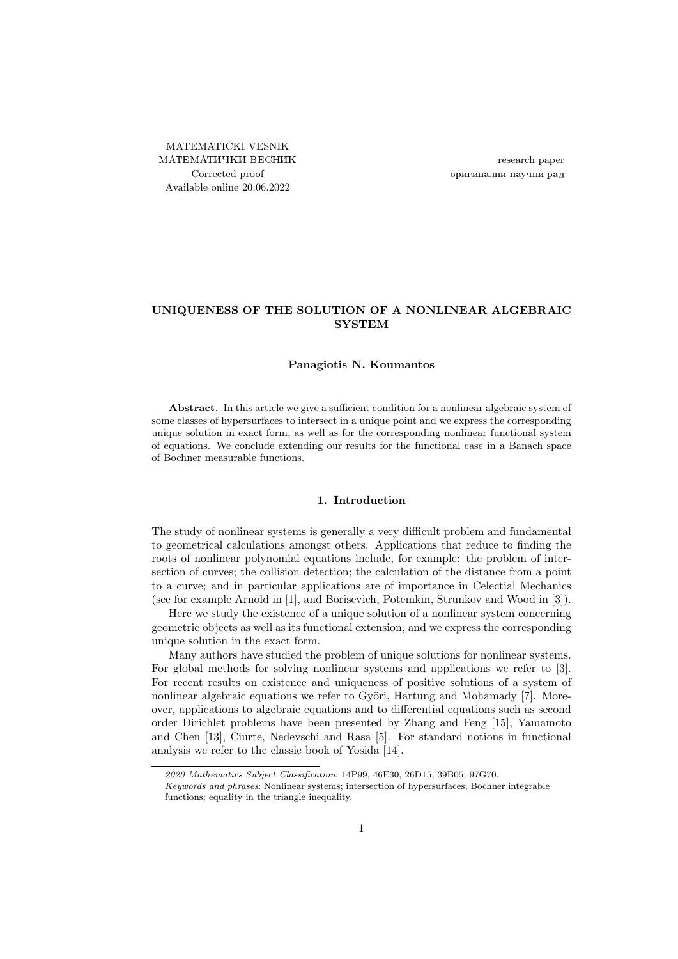MATEMATIČKI VESNIK МАТЕМАТИЧКИ ВЕСНИК Corrected proof Available online 20.06.2022

research paper оригинални научни рад

# UNIQUENESS OF THE SOLUTION OF A NONLINEAR ALGEBRAIC **SYSTEM**

## Panagiotis N. Koumantos

Abstract. In this article we give a sufficient condition for a nonlinear algebraic system of some classes of hypersurfaces to intersect in a unique point and we express the corresponding unique solution in exact form, as well as for the corresponding nonlinear functional system of equations. We conclude extending our results for the functional case in a Banach space of Bochner measurable functions.

#### 1. Introduction

The study of nonlinear systems is generally a very difficult problem and fundamental to geometrical calculations amongst others. Applications that reduce to finding the roots of nonlinear polynomial equations include, for example: the problem of intersection of curves; the collision detection; the calculation of the distance from a point to a curve; and in particular applications are of importance in Celectial Mechanics (see for example Arnold in [\[1\]](#page-7-0), and Borisevich, Potemkin, Strunkov and Wood in [\[3\]](#page-7-1)).

Here we study the existence of a unique solution of a nonlinear system concerning geometric objects as well as its functional extension, and we express the corresponding unique solution in the exact form.

Many authors have studied the problem of unique solutions for nonlinear systems. For global methods for solving nonlinear systems and applications we refer to [\[3\]](#page-7-1). For recent results on existence and uniqueness of positive solutions of a system of nonlinear algebraic equations we refer to Györi, Hartung and Mohamady [\[7\]](#page-8-0). Moreover, applications to algebraic equations and to differential equations such as second order Dirichlet problems have been presented by Zhang and Feng [\[15\]](#page-8-1), Yamamoto and Chen [\[13\]](#page-8-2), Ciurte, Nedevschi and Rasa [\[5\]](#page-7-2). For standard notions in functional analysis we refer to the classic book of Yosida [\[14\]](#page-8-3).

<sup>2020</sup> Mathematics Subject Classification: 14P99, 46E30, 26D15, 39B05, 97G70.

Keywords and phrases: Nonlinear systems; intersection of hypersurfaces; Bochner integrable functions; equality in the triangle inequality.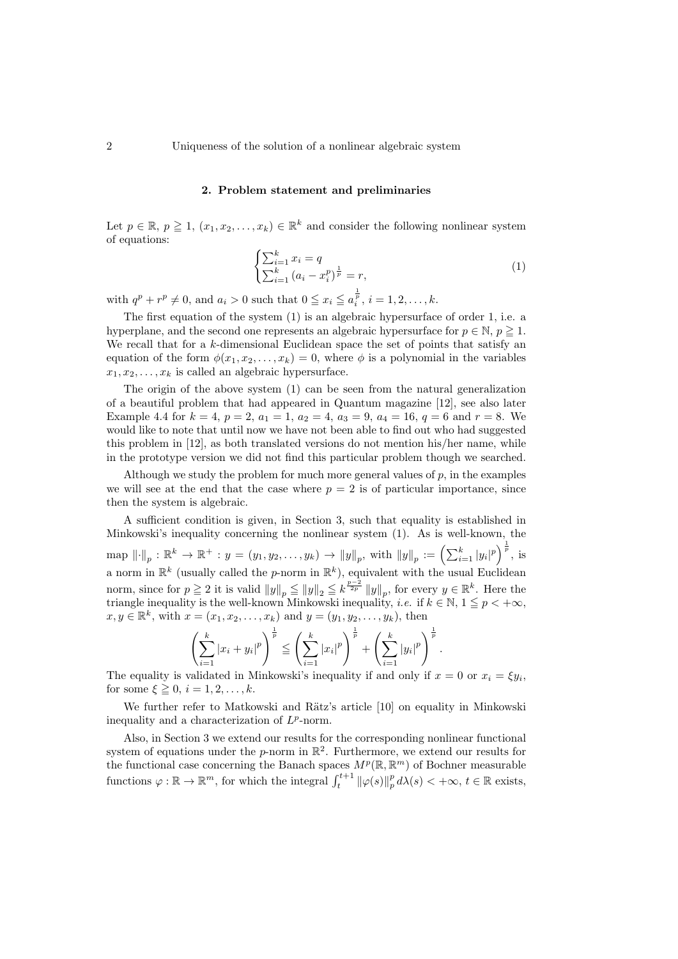2 Uniqueness of the solution of a nonlinear algebraic system

#### 2. Problem statement and preliminaries

Let  $p \in \mathbb{R}, p \geq 1, (x_1, x_2, \ldots, x_k) \in \mathbb{R}^k$  and consider the following nonlinear system of equations:

<span id="page-1-0"></span>
$$
\begin{cases} \sum_{i=1}^{k} x_i = q \\ \sum_{i=1}^{k} (a_i - x_i^p)^{\frac{1}{p}} = r, \end{cases}
$$
 (1)

with  $q^p + r^p \neq 0$ , and  $a_i > 0$  such that  $0 \leq x_i \leq a_i^{\frac{1}{p}}, i = 1, 2, \ldots, k$ .

The first equation of the system [\(1\)](#page-1-0) is an algebraic hypersurface of order 1, i.e. a hyperplane, and the second one represents an algebraic hypersurface for  $p \in \mathbb{N}$ ,  $p \geq 1$ . We recall that for a k-dimensional Euclidean space the set of points that satisfy an equation of the form  $\phi(x_1, x_2, \ldots, x_k) = 0$ , where  $\phi$  is a polynomial in the variables  $x_1, x_2, \ldots, x_k$  is called an algebraic hypersurface.

The origin of the above system [\(1\)](#page-1-0) can be seen from the natural generalization of a beautiful problem that had appeared in Quantum magazine [\[12\]](#page-8-4), see also later Example [4.4](#page-7-3) for  $k = 4$ ,  $p = 2$ ,  $a_1 = 1$ ,  $a_2 = 4$ ,  $a_3 = 9$ ,  $a_4 = 16$ ,  $q = 6$  and  $r = 8$ . We would like to note that until now we have not been able to find out who had suggested this problem in [\[12\]](#page-8-4), as both translated versions do not mention his/her name, while in the prototype version we did not find this particular problem though we searched.

Although we study the problem for much more general values of  $p$ , in the examples we will see at the end that the case where  $p = 2$  is of particular importance, since then the system is algebraic.

A sufficient condition is given, in Section [3,](#page-2-0) such that equality is established in Minkowski's inequality concerning the nonlinear system [\(1\)](#page-1-0). As is well-known, the  $\text{map } \left\| \cdot \right\|_p : \mathbb{R}^k \to \mathbb{R}^+ : y = (y_1, y_2, \dots, y_k) \to \left\| y \right\|_p, \text{ with } \left\| y \right\|_p := \left( \sum_{i=1}^k |y_i|^p \right)^{\frac{1}{p}}, \text{ is }$ a norm in  $\mathbb{R}^k$  (usually called the *p*-norm in  $\mathbb{R}^k$ ), equivalent with the usual Euclidean norm, since for  $p \geq 2$  it is valid  $||y||_p \leq ||y||_2 \leq k^{\frac{p-2}{2p}} ||y||_p$ , for every  $y \in \mathbb{R}^k$ . Here the triangle inequality is the well-known Minkowski inequality, *i.e.* if  $k \in \mathbb{N}$ ,  $1 \leq p < +\infty$ ,  $x, y \in \mathbb{R}^k$ , with  $x = (x_1, x_2, \dots, x_k)$  and  $y = (y_1, y_2, \dots, y_k)$ , then

$$
\left(\sum_{i=1}^k |x_i + y_i|^p\right)^{\frac{1}{p}} \leqq \left(\sum_{i=1}^k |x_i|^p\right)^{\frac{1}{p}} + \left(\sum_{i=1}^k |y_i|^p\right)^{\frac{1}{p}}.
$$

The equality is validated in Minkowski's inequality if and only if  $x = 0$  or  $x_i = \xi y_i$ , for some  $\xi \geq 0$ ,  $i = 1, 2, \ldots, k$ .

We further refer to Matkowski and Rätz's article [\[10\]](#page-8-5) on equality in Minkowski inequality and a characterization of  $L^p$ -norm.

Also, in Section [3](#page-2-0) we extend our results for the corresponding nonlinear functional system of equations under the *p*-norm in  $\mathbb{R}^2$ . Furthermore, we extend our results for the functional case concerning the Banach spaces  $M^p(\mathbb{R}, \mathbb{R}^m)$  of Bochner measurable functions  $\varphi : \mathbb{R} \to \mathbb{R}^m$ , for which the integral  $\int_t^{t+1} ||\varphi(s)||_p^p d\lambda(s) < +\infty$ ,  $t \in \mathbb{R}$  exists,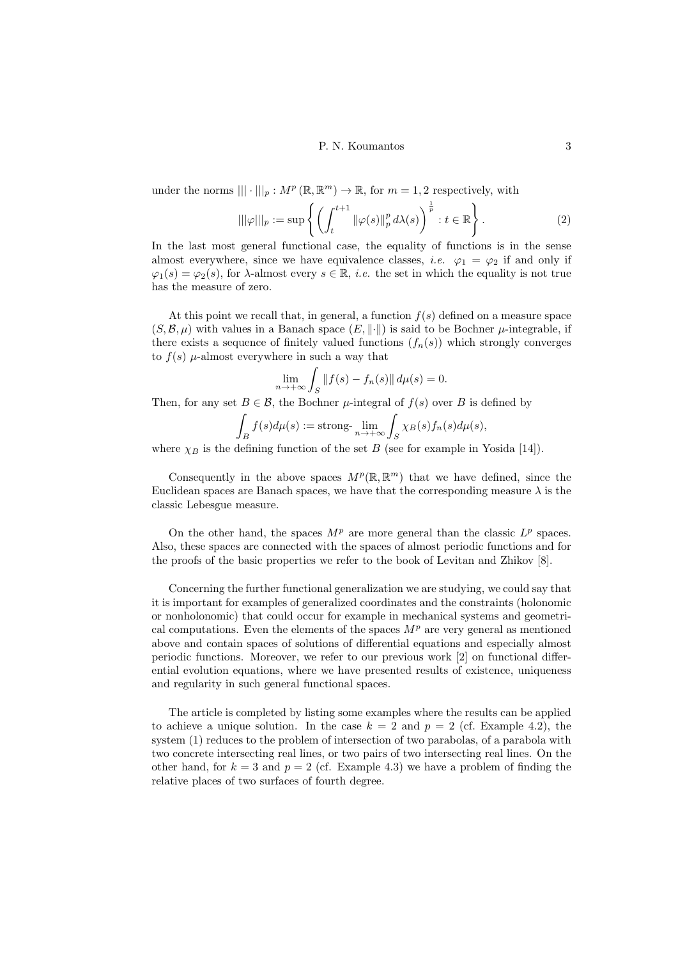under the norms  $||| \cdot |||_p : M^p(\mathbb{R}, \mathbb{R}^m) \to \mathbb{R}$ , for  $m = 1, 2$  respectively, with

<span id="page-2-1"></span>
$$
\|\varphi\|\|_{p} := \sup \left\{ \left( \int_{t}^{t+1} \|\varphi(s)\|_{p}^{p} d\lambda(s) \right)^{\frac{1}{p}} : t \in \mathbb{R} \right\}.
$$
 (2)

In the last most general functional case, the equality of functions is in the sense almost everywhere, since we have equivalence classes, *i.e.*  $\varphi_1 = \varphi_2$  if and only if  $\varphi_1(s) = \varphi_2(s)$ , for  $\lambda$ -almost every  $s \in \mathbb{R}$ , *i.e.* the set in which the equality is not true has the measure of zero.

At this point we recall that, in general, a function  $f(s)$  defined on a measure space  $(S, \mathcal{B}, \mu)$  with values in a Banach space  $(E, \|\cdot\|)$  is said to be Bochner  $\mu$ -integrable, if there exists a sequence of finitely valued functions  $(f_n(s))$  which strongly converges to  $f(s)$   $\mu$ -almost everywhere in such a way that

$$
\lim_{n \to +\infty} \int_{S} ||f(s) - f_n(s)|| d\mu(s) = 0.
$$

Then, for any set  $B \in \mathcal{B}$ , the Bochner  $\mu$ -integral of  $f(s)$  over B is defined by

$$
\int_B f(s)d\mu(s) := \operatorname{strong-}\lim_{n \to +\infty} \int_S \chi_B(s)f_n(s)d\mu(s),
$$

where  $\chi_B$  is the defining function of the set B (see for example in Yosida [\[14\]](#page-8-3)).

Consequently in the above spaces  $M^p(\mathbb{R}, \mathbb{R}^m)$  that we have defined, since the Euclidean spaces are Banach spaces, we have that the corresponding measure  $\lambda$  is the classic Lebesgue measure.

On the other hand, the spaces  $M^p$  are more general than the classic  $L^p$  spaces. Also, these spaces are connected with the spaces of almost periodic functions and for the proofs of the basic properties we refer to the book of Levitan and Zhikov [\[8\]](#page-8-6).

Concerning the further functional generalization we are studying, we could say that it is important for examples of generalized coordinates and the constraints (holonomic or nonholonomic) that could occur for example in mechanical systems and geometrical computations. Even the elements of the spaces  $M<sup>p</sup>$  are very general as mentioned above and contain spaces of solutions of differential equations and especially almost periodic functions. Moreover, we refer to our previous work [\[2\]](#page-7-4) on functional differential evolution equations, where we have presented results of existence, uniqueness and regularity in such general functional spaces.

<span id="page-2-0"></span>The article is completed by listing some examples where the results can be applied to achieve a unique solution. In the case  $k = 2$  and  $p = 2$  (cf. Example [4.2\)](#page-5-0), the system [\(1\)](#page-1-0) reduces to the problem of intersection of two parabolas, of a parabola with two concrete intersecting real lines, or two pairs of two intersecting real lines. On the other hand, for  $k = 3$  and  $p = 2$  (cf. Example [4.3\)](#page-6-0) we have a problem of finding the relative places of two surfaces of fourth degree.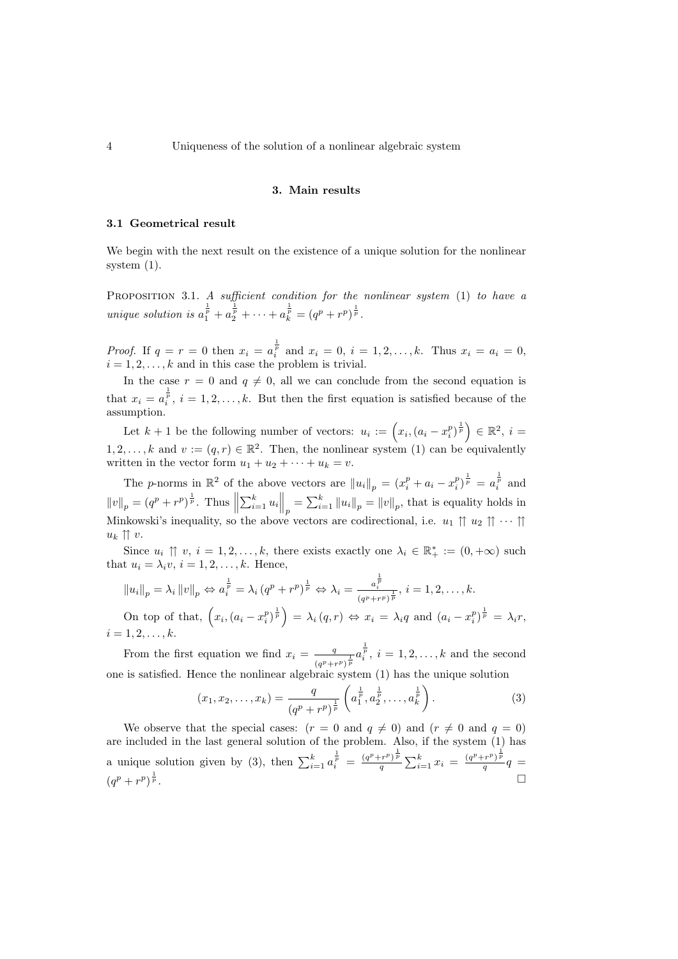#### 3. Main results

### 3.1 Geometrical result

We begin with the next result on the existence of a unique solution for the nonlinear system [\(1\)](#page-1-0).

<span id="page-3-1"></span>PROPOSITION 3.1. A sufficient condition for the nonlinear system [\(1\)](#page-1-0) to have a unique solution is  $a_1^{\frac{1}{p}} + a_2^{\frac{1}{p}} + \cdots + a_k^{\frac{1}{p}} = (q^p + r^p)^{\frac{1}{p}}$ .

*Proof.* If  $q = r = 0$  then  $x_i = a_i^{\frac{1}{p}}$  and  $x_i = 0$ ,  $i = 1, 2, ..., k$ . Thus  $x_i = a_i = 0$ ,  $i = 1, 2, \ldots, k$  and in this case the problem is trivial.

In the case  $r = 0$  and  $q \neq 0$ , all we can conclude from the second equation is that  $x_i = a_i^{\frac{1}{p}}, i = 1, 2, \ldots, k$ . But then the first equation is satisfied because of the assumption.

Let  $k+1$  be the following number of vectors:  $u_i := (x_i, (a_i - x_i^p)^{\frac{1}{p}}) \in \mathbb{R}^2$ ,  $i =$  $1, 2, \ldots, k$  and  $v := (q, r) \in \mathbb{R}^2$ . Then, the nonlinear system [\(1\)](#page-1-0) can be equivalently written in the vector form  $u_1 + u_2 + \cdots + u_k = v$ .

The *p*-norms in  $\mathbb{R}^2$  of the above vectors are  $||u_i||_p = (x_i^p + a_i - x_i^p)^{\frac{1}{p}} = a_i^{\frac{1}{p}}$  and  $||v||_p = (q^p + r^p)^{\frac{1}{p}}$ . Thus  $||\sum_{i=1}^k u_i||_p = \sum_{i=1}^k ||u_i||_p = ||v||_p$ , that is equality holds in Minkowski's inequality, so the above vectors are codirectional, i.e.  $u_1 \uparrow u_2 \uparrow \cdots \uparrow u_n$  $u_k \uparrow \uparrow v$ .

Since  $u_i \uparrow \uparrow v, i = 1, 2, \ldots, k$ , there exists exactly one  $\lambda_i \in \mathbb{R}_+^* := (0, +\infty)$  such that  $u_i = \lambda_i v, i = 1, 2, \dots, k$ . Hence,

$$
||u_i||_p = \lambda_i ||v||_p \Leftrightarrow a_i^{\frac{1}{p}} = \lambda_i (q^p + r^p)^{\frac{1}{p}} \Leftrightarrow \lambda_i = \frac{a_i^{\frac{1}{p}}}{(q^p + r^p)^{\frac{1}{p}}}, i = 1, 2, \dots, k.
$$

On top of that,  $\left(x_i,(a_i-x_i^p)^{\frac{1}{p}}\right) = \lambda_i(q,r) \Leftrightarrow x_i = \lambda_i q$  and  $(a_i-x_i^p)^{\frac{1}{p}} = \lambda_i r$ ,  $i = 1, 2, \ldots, k.$ 

From the first equation we find  $x_i = \frac{q}{x_i}$  $\frac{q}{(q^{p}+r^{p})^{\frac{1}{p}}}a_{i}^{\frac{1}{p}}, i=1,2,\ldots,k$  and the second one is satisfied. Hence the nonlinear algebraic system [\(1\)](#page-1-0) has the unique solution

<span id="page-3-0"></span>
$$
(x_1, x_2, \dots, x_k) = \frac{q}{(q^p + r^p)^{\frac{1}{p}}} \left( a_1^{\frac{1}{p}}, a_2^{\frac{1}{p}}, \dots, a_k^{\frac{1}{p}} \right).
$$
 (3)

We observe that the special cases:  $(r = 0 \text{ and } q \neq 0)$  and  $(r \neq 0 \text{ and } q = 0)$ are included in the last general solution of the problem. Also, if the system [\(1\)](#page-1-0) has a unique solution given by [\(3\)](#page-3-0), then  $\sum_{i=1}^{k} a_i^{\frac{1}{p}} = \frac{(q^p+r^p)^{\frac{1}{p}}}{q}$  $\frac{(q^p+r^p)^{\frac{1}{p}}}{q}\sum_{i=1}^k x_i = \frac{(q^p+r^p)^{\frac{1}{p}}}{q}$  $\frac{(-r^{\alpha})^{\nu}}{q}q =$  $(q^p+r^p)^{\frac{1}{p}}$  $\frac{1}{p}$ .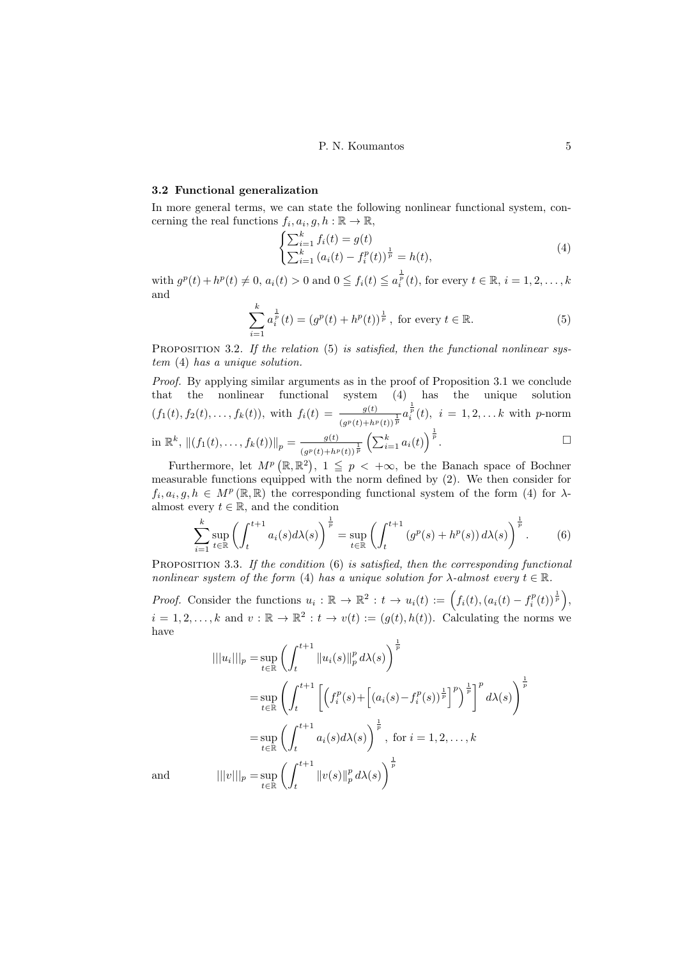#### 3.2 Functional generalization

In more general terms, we can state the following nonlinear functional system, concerning the real functions  $f_i, a_i, g, h : \mathbb{R} \to \mathbb{R}$ ,

<span id="page-4-1"></span><span id="page-4-0"></span>
$$
\begin{cases} \sum_{i=1}^{k} f_i(t) = g(t) \\ \sum_{i=1}^{k} (a_i(t) - f_i^p(t))^{\frac{1}{p}} = h(t), \end{cases}
$$
 (4)

with  $g^p(t) + h^p(t) \neq 0$ ,  $a_i(t) > 0$  and  $0 \leq f_i(t) \leq a_i^{\frac{1}{p}}(t)$ , for every  $t \in \mathbb{R}$ ,  $i = 1, 2, ..., k$ and

$$
\sum_{i=1}^{k} a_i^{\frac{1}{p}}(t) = (g^p(t) + h^p(t))^{\frac{1}{p}}, \text{ for every } t \in \mathbb{R}.
$$
 (5)

PROPOSITION 3.2. If the relation [\(5\)](#page-4-0) is satisfied, then the functional nonlinear system [\(4\)](#page-4-1) has a unique solution.

Proof. By applying similar arguments as in the proof of Proposition [3.1](#page-3-1) we conclude that the nonlinear functional system [\(4\)](#page-4-1) has the unique solution  $(f_1(t), f_2(t), \ldots, f_k(t)),$  with  $f_i(t) = \frac{g(t)}{(g^p(t) + h^p(t))^\frac{1}{p}} a_i^{\frac{1}{p}}(t), i = 1, 2, \ldots k$  with p-norm in  $\mathbb{R}^k$ ,  $||(f_1(t),...,f_k(t))||_p = \frac{g(t)}{(x)(t)+k^2}$  $\frac{g(t)}{(g^p(t)+h^p(t))^\frac{1}{p}} \left( \sum_{i=1}^k a_i(t) \right)^\frac{1}{p}$ . □

Furthermore, let  $M^p(\mathbb{R}, \mathbb{R}^2)$ ,  $1 \leq p < +\infty$ , be the Banach space of Bochner measurable functions equipped with the norm defined by [\(2\)](#page-2-1). We then consider for  $f_i, a_i, g, h \in M^p(\mathbb{R}, \mathbb{R})$  the corresponding functional system of the form [\(4\)](#page-4-1) for  $\lambda$ almost every  $t \in \mathbb{R}$ , and the condition

<span id="page-4-2"></span>
$$
\sum_{i=1}^k \sup_{t \in \mathbb{R}} \left( \int_t^{t+1} a_i(s) d\lambda(s) \right)^{\frac{1}{p}} = \sup_{t \in \mathbb{R}} \left( \int_t^{t+1} \left( g^p(s) + h^p(s) \right) d\lambda(s) \right)^{\frac{1}{p}}.
$$
 (6)

PROPOSITION 3.3. If the condition  $(6)$  is satisfied, then the corresponding functional nonlinear system of the form [\(4\)](#page-4-1) has a unique solution for  $\lambda$ -almost every  $t \in \mathbb{R}$ .

*Proof.* Consider the functions  $u_i : \mathbb{R} \to \mathbb{R}^2 : t \to u_i(t) := \left(f_i(t), (a_i(t) - f_i^p(t))^{\frac{1}{p}}\right)$ ,  $i = 1, 2, \ldots, k$  and  $v : \mathbb{R} \to \mathbb{R}^2 : t \to v(t) := (g(t), h(t))$ . Calculating the norms we have

$$
\|\|u_i\|\|_{p} = \sup_{t \in \mathbb{R}} \left( \int_{t}^{t+1} \|u_i(s)\|_{p}^{p} d\lambda(s) \right)^{\frac{1}{p}}
$$
  
\n
$$
= \sup_{t \in \mathbb{R}} \left( \int_{t}^{t+1} \left[ \left( f_i^{p}(s) + \left[ (a_i(s) - f_i^{p}(s))^{\frac{1}{p}} \right]^{p} \right)^{\frac{1}{p}} \right]^{p} d\lambda(s) \right)^{\frac{1}{p}}
$$
  
\n
$$
= \sup_{t \in \mathbb{R}} \left( \int_{t}^{t+1} a_i(s) d\lambda(s) \right)^{\frac{1}{p}}, \text{ for } i = 1, 2, ..., k
$$
  
\n
$$
\|\|v\|\|_{p} = \sup_{t \in \mathbb{R}} \left( \int_{t}^{t+1} \|v(s)\|_{p}^{p} d\lambda(s) \right)^{\frac{1}{p}}
$$

and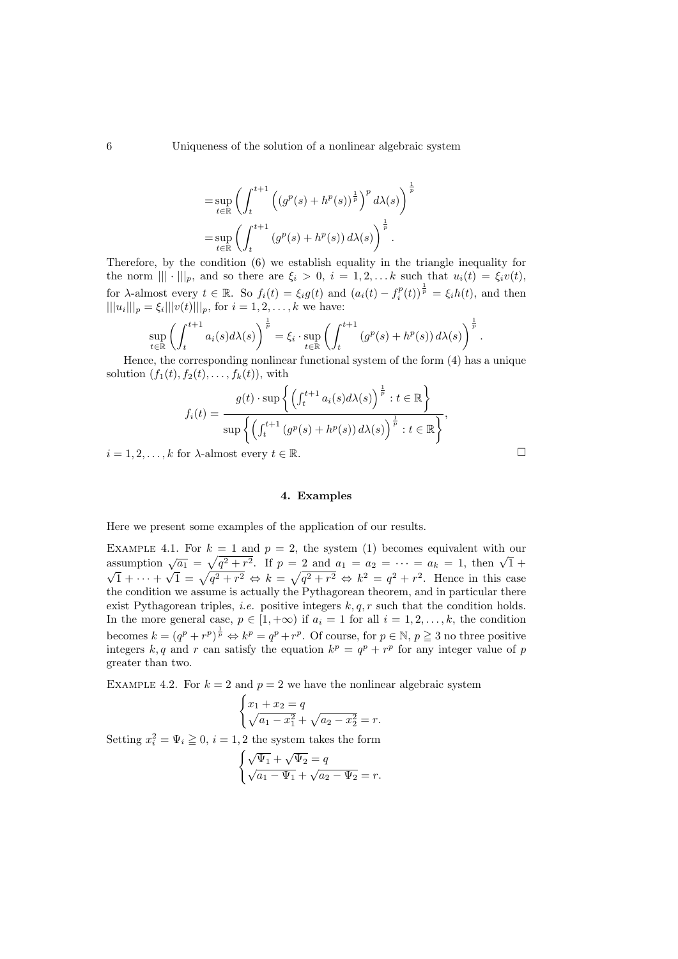$$
= \sup_{t \in \mathbb{R}} \left( \int_{t}^{t+1} \left( (g^{p}(s) + h^{p}(s))^{\frac{1}{p}} \right)^{p} d\lambda(s) \right)^{\frac{1}{p}}
$$

$$
= \sup_{t \in \mathbb{R}} \left( \int_{t}^{t+1} \left( g^{p}(s) + h^{p}(s) \right) d\lambda(s) \right)^{\frac{1}{p}}.
$$

Therefore, by the condition [\(6\)](#page-4-2) we establish equality in the triangle inequality for the norm  $|||\cdot|||_p$ , and so there are  $\xi_i > 0$ ,  $i = 1, 2, \ldots k$  such that  $u_i(t) = \xi_i v(t)$ , for  $\lambda$ -almost every  $t \in \mathbb{R}$ . So  $f_i(t) = \xi_i g(t)$  and  $(a_i(t) - f_i^p(t))^{\frac{1}{p}} = \xi_i h(t)$ , and then  $|||u_i|||_p = \xi_i |||v(t)|||_p$ , for  $i = 1, 2, ..., k$  we have:

$$
\sup_{t \in \mathbb{R}} \left( \int_{t}^{t+1} a_i(s) d\lambda(s) \right)^{\frac{1}{p}} = \xi_i \cdot \sup_{t \in \mathbb{R}} \left( \int_{t}^{t+1} \left( g^p(s) + h^p(s) \right) d\lambda(s) \right)^{\frac{1}{p}}.
$$

Hence, the corresponding nonlinear functional system of the form [\(4\)](#page-4-1) has a unique solution  $(f_1(t), f_2(t), \ldots, f_k(t))$ , with

$$
f_i(t) = \frac{g(t) \cdot \sup \left\{ \left( \int_t^{t+1} a_i(s) d\lambda(s) \right)^{\frac{1}{p}} : t \in \mathbb{R} \right\}}{\sup \left\{ \left( \int_t^{t+1} \left( g^p(s) + h^p(s) \right) d\lambda(s) \right)^{\frac{1}{p}} : t \in \mathbb{R} \right\}},
$$

 $i = 1, 2, \ldots, k$  for  $\lambda$ -almost every  $t \in \mathbb{R}$ .  $\Box$ 

## 4. Examples

Here we present some examples of the application of our results.

EXAMPLE 4.1. For  $k = 1$  and  $p = 2$ , the system [\(1\)](#page-1-0) becomes equivalent with our EXAMPLE 4.1. For  $k = 1$  and  $p = 2$ , the system (1) becomes equivalent with our assumption  $\sqrt{a_1} = \sqrt{q^2 + r^2}$ . If  $p = 2$  and  $a_1 = a_2 = \cdots = a_k = 1$ , then  $\sqrt{1} + \sqrt{2}$  $1 + \cdots +$  $\sqrt{1} = \sqrt{q^2 + r^2} \Leftrightarrow k = \sqrt{q^2 + r^2} \Leftrightarrow k^2 = q^2 + r^2$ . Hence in this case the condition we assume is actually the Pythagorean theorem, and in particular there exist Pythagorean triples, *i.e.* positive integers  $k, q, r$  such that the condition holds. In the more general case,  $p \in [1, +\infty)$  if  $a_i = 1$  for all  $i = 1, 2, \ldots, k$ , the condition becomes  $k = (q^p + r^p)^{\frac{1}{p}} \Leftrightarrow k^p = q^p + r^p$ . Of course, for  $p \in \mathbb{N}$ ,  $p \geq 3$  no three positive integers k, q and r can satisfy the equation  $k^p = q^p + r^p$  for any integer value of p greater than two.

<span id="page-5-0"></span>EXAMPLE 4.2. For  $k = 2$  and  $p = 2$  we have the nonlinear algebraic system

$$
\begin{cases} x_1 + x_2 = q \\ \sqrt{a_1 - x_1^2} + \sqrt{a_2 - x_2^2} = r. \end{cases}
$$

Setting  $x_i^2 = \Psi_i \geq 0$ ,  $i = 1, 2$  the system takes the form

$$
\begin{cases} \sqrt{\Psi_1} + \sqrt{\Psi_2} = q \\ \sqrt{a_1 - \Psi_1} + \sqrt{a_2 - \Psi_2} = r. \end{cases}
$$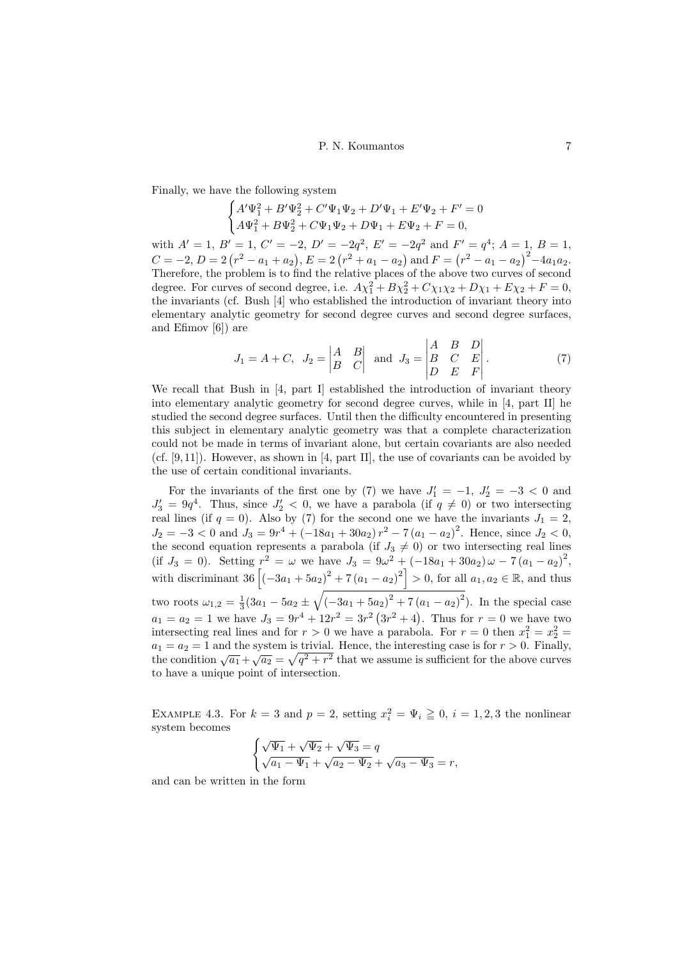Finally, we have the following system

$$
\begin{cases} A'\Psi_1^2 + B'\Psi_2^2 + C'\Psi_1\Psi_2 + D'\Psi_1 + E'\Psi_2 + F' = 0\\ A\Psi_1^2 + B\Psi_2^2 + C\Psi_1\Psi_2 + D\Psi_1 + E\Psi_2 + F = 0, \end{cases}
$$

with  $A' = 1$ ,  $B' = 1$ ,  $C' = -2$ ,  $D' = -2q^2$ ,  $E' = -2q^2$  and  $F' = q^4$ ;  $A = 1$ ,  $B = 1$ ,  $C = -2, D = 2(r^2 - a_1 + a_2), E = 2(r^2 + a_1 - a_2)$  and  $F = (r^2 - a_1 - a_2)^2 - 4a_1a_2$ . Therefore, the problem is to find the relative places of the above two curves of second degree. For curves of second degree, i.e.  $A\chi_1^2 + B\chi_2^2 + C\chi_1\chi_2 + D\chi_1 + E\chi_2 + F = 0$ , the invariants (cf. Bush [\[4\]](#page-7-5) who established the introduction of invariant theory into elementary analytic geometry for second degree curves and second degree surfaces, and Efimov [\[6\]](#page-8-7)) are

<span id="page-6-1"></span>
$$
J_1 = A + C, \quad J_2 = \begin{vmatrix} A & B \\ B & C \end{vmatrix}
$$
 and  $J_3 = \begin{vmatrix} A & B & D \\ B & C & E \\ D & E & F \end{vmatrix}$ . (7)

We recall that Bush in [\[4,](#page-7-5) part I] established the introduction of invariant theory into elementary analytic geometry for second degree curves, while in [\[4,](#page-7-5) part II] he studied the second degree surfaces. Until then the difficulty encountered in presenting this subject in elementary analytic geometry was that a complete characterization could not be made in terms of invariant alone, but certain covariants are also needed (cf.  $[9, 11]$  $[9, 11]$ ). However, as shown in  $[4, part II]$  $[4, part II]$ , the use of covariants can be avoided by the use of certain conditional invariants.

For the invariants of the first one by [\(7\)](#page-6-1) we have  $J'_1 = -1$ ,  $J'_2 = -3 < 0$  and  $J'_3 = 9q^4$ . Thus, since  $J'_2 < 0$ , we have a parabola (if  $q \neq 0$ ) or two intersecting real lines (if  $q = 0$ ). Also by [\(7\)](#page-6-1) for the second one we have the invariants  $J_1 = 2$ ,  $J_2 = -3 < 0$  and  $J_3 = 9r^4 + (-18a_1 + 30a_2) r^2 - 7(a_1 - a_2)^2$ . Hence, since  $J_2 < 0$ , the second equation represents a parabola (if  $J_3 \neq 0$ ) or two intersecting real lines (if  $J_3 = 0$ ). Setting  $r^2 = \omega$  we have  $J_3 = 9\omega^2 + (-18a_1 + 30a_2)\omega - 7(a_1 - a_2)^2$ , with discriminant  $36 [(-3a_1 + 5a_2)^2 + 7(a_1 - a_2)^2] > 0$ , for all  $a_1, a_2 \in \mathbb{R}$ , and thus two roots  $\omega_{1,2} = \frac{1}{3}(3a_1 - 5a_2 \pm \sqrt{(-3a_1 + 5a_2)^2 + 7(a_1 - a_2)^2})$ . In the special case  $a_1 = a_2 = 1$  we have  $J_3 = 9r^4 + 12r^2 = 3r^2(3r^2 + 4)$ . Thus for  $r = 0$  we have two intersecting real lines and for  $r > 0$  we have a parabola. For  $r = 0$  then  $x_1^2 = x_2^2 =$  $a_1 = a_2 = 1$  and the system is trivial. Hence, the interesting case is for  $r > 0$ . Finally, the condition  $\sqrt{a_1} + \sqrt{a_2} = \sqrt{q^2 + r^2}$  that we assume is sufficient for the above curves to have a unique point of intersection.

<span id="page-6-0"></span>EXAMPLE 4.3. For  $k = 3$  and  $p = 2$ , setting  $x_i^2 = \Psi_i \geq 0$ ,  $i = 1, 2, 3$  the nonlinear system becomes

$$
\begin{cases} \sqrt{\Psi_1} + \sqrt{\Psi_2} + \sqrt{\Psi_3} = q \\ \sqrt{a_1 - \Psi_1} + \sqrt{a_2 - \Psi_2} + \sqrt{a_3 - \Psi_3} = r, \end{cases}
$$

and can be written in the form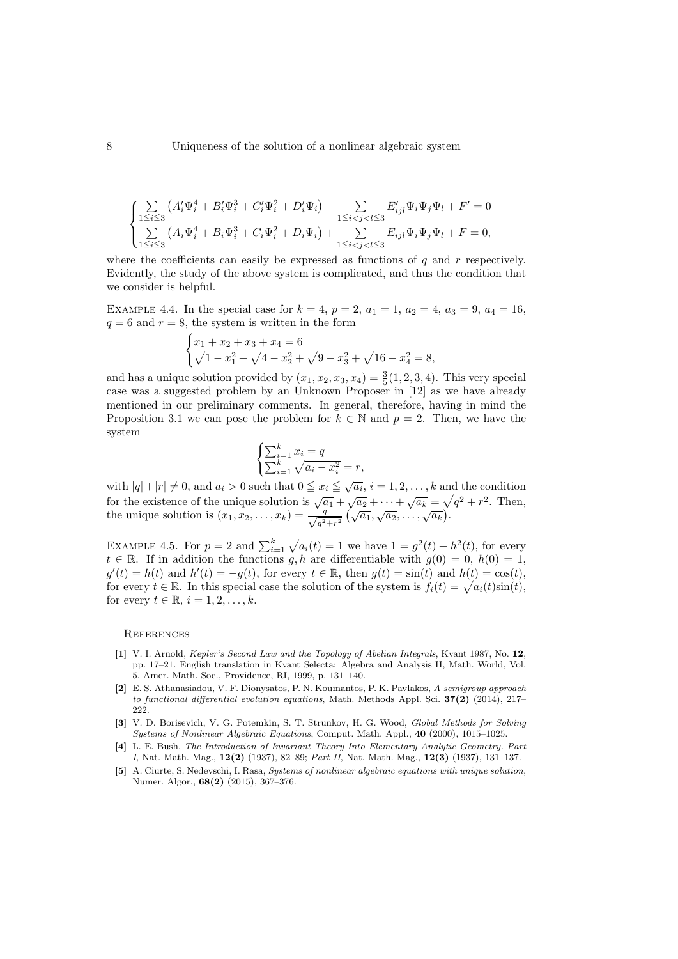$$
\begin{cases} \sum\limits_{1 \leq i \leq 3} \left( A_i' \Psi_i^4 + B_i' \Psi_i^3 + C_i' \Psi_i^2 + D_i' \Psi_i \right) + \sum\limits_{1 \leq i < j < l \leq 3} E_{ijl}' \Psi_i \Psi_j \Psi_l + F' = 0 \\ \sum\limits_{1 \leq i \leq 3} \left( A_i \Psi_i^4 + B_i \Psi_i^3 + C_i \Psi_i^2 + D_i \Psi_i \right) + \sum\limits_{1 \leq i < j < l \leq 3} E_{ijl} \Psi_i \Psi_j \Psi_l + F = 0, \end{cases}
$$

where the coefficients can easily be expressed as functions of  $q$  and  $r$  respectively. Evidently, the study of the above system is complicated, and thus the condition that we consider is helpful.

<span id="page-7-3"></span>EXAMPLE 4.4. In the special case for  $k = 4$ ,  $p = 2$ ,  $a_1 = 1$ ,  $a_2 = 4$ ,  $a_3 = 9$ ,  $a_4 = 16$ ,  $q = 6$  and  $r = 8$ , the system is written in the form

$$
\begin{cases} x_1 + x_2 + x_3 + x_4 = 6\\ \sqrt{1 - x_1^2} + \sqrt{4 - x_2^2} + \sqrt{9 - x_3^2} + \sqrt{16 - x_4^2} = 8, \end{cases}
$$

and has a unique solution provided by  $(x_1, x_2, x_3, x_4) = \frac{3}{5}(1, 2, 3, 4)$ . This very special case was a suggested problem by an Unknown Proposer in [\[12\]](#page-8-4) as we have already mentioned in our preliminary comments. In general, therefore, having in mind the Proposition [3.1](#page-3-1) we can pose the problem for  $k \in \mathbb{N}$  and  $p = 2$ . Then, we have the system

$$
\begin{cases} \sum_{i=1}^{k} x_i = q \\ \sum_{i=1}^{k} \sqrt{a_i - x_i^2} = r, \end{cases}
$$

with  $|q|+|r| \neq 0$ , and  $a_i > 0$  such that  $0 \leq x_i \leq \sqrt{a_i}$ ,  $i = 1, 2, ..., k$  and the condition for the existence of the unique solution is  $\sqrt{a_1} + \sqrt{a_2} + \cdots + \sqrt{a_k} = \sqrt{q^2 + r^2}$ . Then, the unique solution is  $(x_1, x_2, \ldots, x_k) = \frac{q}{\sqrt{q^2+r^2}} \left(\sqrt{a_1}, \sqrt{a_2}, \ldots, \sqrt{a_k}\right)$ .

EXAMPLE 4.5. For  $p = 2$  and  $\sum_{i=1}^{k} \sqrt{a_i(t)} = 1$  we have  $1 = g^2(t) + h^2(t)$ , for every  $t \in \mathbb{R}$ . If in addition the functions g, h are differentiable with  $g(0) = 0$ ,  $h(0) = 1$ ,  $g'(t) = h(t)$  and  $h'(t) = -g(t)$ , for every  $t \in \mathbb{R}$ , then  $g(t) = \sin(t)$  and  $h(t) = \cos(t)$ , for every  $t \in \mathbb{R}$ . In this special case the solution of the system is  $f_i(t) = \sqrt{a_i(t)}\sin(t)$ , for every  $t \in \mathbb{R}, i = 1, 2, \ldots, k$ .

#### **REFERENCES**

- <span id="page-7-0"></span>[1] V. I. Arnold, Kepler's Second Law and the Topology of Abelian Integrals, Kvant 1987, No. 12, pp. 17–21. English translation in Kvant Selecta: Algebra and Analysis II, Math. World, Vol. 5. Amer. Math. Soc., Providence, RI, 1999, p. 131–140.
- <span id="page-7-4"></span>[2] E. S. Athanasiadou, V. F. Dionysatos, P. N. Koumantos, P. K. Pavlakos, A semigroup approach to functional differential evolution equations, Math. Methods Appl. Sci.  $37(2)$  (2014), 217– 222.
- <span id="page-7-1"></span>[3] V. D. Borisevich, V. G. Potemkin, S. T. Strunkov, H. G. Wood, Global Methods for Solving Systems of Nonlinear Algebraic Equations, Comput. Math. Appl., 40 (2000), 1015–1025.
- <span id="page-7-5"></span>[4] L. E. Bush, The Introduction of Invariant Theory Into Elementary Analytic Geometry. Part I, Nat. Math. Mag., 12(2) (1937), 82–89; Part II, Nat. Math. Mag., 12(3) (1937), 131–137.
- <span id="page-7-2"></span>[5] A. Ciurte, S. Nedevschi, I. Rasa, Systems of nonlinear algebraic equations with unique solution, Numer. Algor., 68(2) (2015), 367–376.